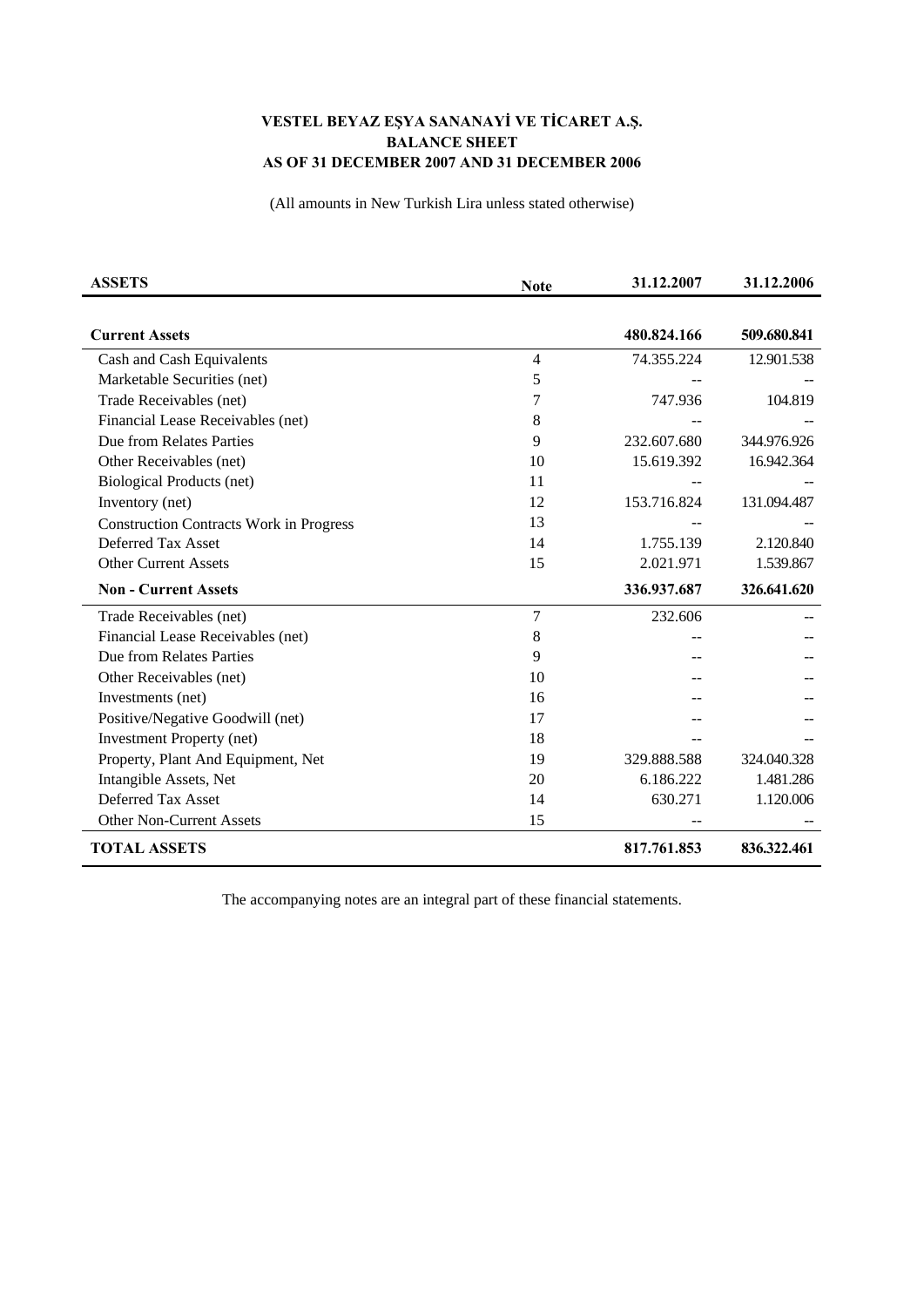## **VESTEL BEYAZ EŞYA SANANAYİ VE TİCARET A.Ş. BALANCE SHEET AS OF 31 DECEMBER 2007 AND 31 DECEMBER 2006**

(All amounts in New Turkish Lira unless stated otherwise)

| <b>ASSETS</b>                                  | <b>Note</b> | 31.12.2007  | 31.12.2006  |
|------------------------------------------------|-------------|-------------|-------------|
|                                                |             |             |             |
| <b>Current Assets</b>                          |             | 480.824.166 | 509.680.841 |
| Cash and Cash Equivalents                      | 4           | 74.355.224  | 12.901.538  |
| Marketable Securities (net)                    | 5           |             |             |
| Trade Receivables (net)                        | 7           | 747.936     | 104.819     |
| Financial Lease Receivables (net)              | 8           |             |             |
| Due from Relates Parties                       | 9           | 232.607.680 | 344.976.926 |
| Other Receivables (net)                        | 10          | 15.619.392  | 16.942.364  |
| <b>Biological Products (net)</b>               | 11          |             |             |
| Inventory (net)                                | 12          | 153.716.824 | 131.094.487 |
| <b>Construction Contracts Work in Progress</b> | 13          |             |             |
| Deferred Tax Asset                             | 14          | 1.755.139   | 2.120.840   |
| <b>Other Current Assets</b>                    | 15          | 2.021.971   | 1.539.867   |
| <b>Non - Current Assets</b>                    |             | 336.937.687 | 326.641.620 |
| Trade Receivables (net)                        | 7           | 232.606     |             |
| Financial Lease Receivables (net)              | 8           |             |             |
| Due from Relates Parties                       | 9           |             |             |
| Other Receivables (net)                        | 10          |             |             |
| Investments (net)                              | 16          |             |             |
| Positive/Negative Goodwill (net)               | 17          |             |             |
| <b>Investment Property (net)</b>               | 18          |             |             |
| Property, Plant And Equipment, Net             | 19          | 329.888.588 | 324.040.328 |
| Intangible Assets, Net                         | 20          | 6.186.222   | 1.481.286   |
| Deferred Tax Asset                             | 14          | 630.271     | 1.120.006   |
| <b>Other Non-Current Assets</b>                | 15          |             |             |
| <b>TOTAL ASSETS</b>                            |             | 817.761.853 | 836.322.461 |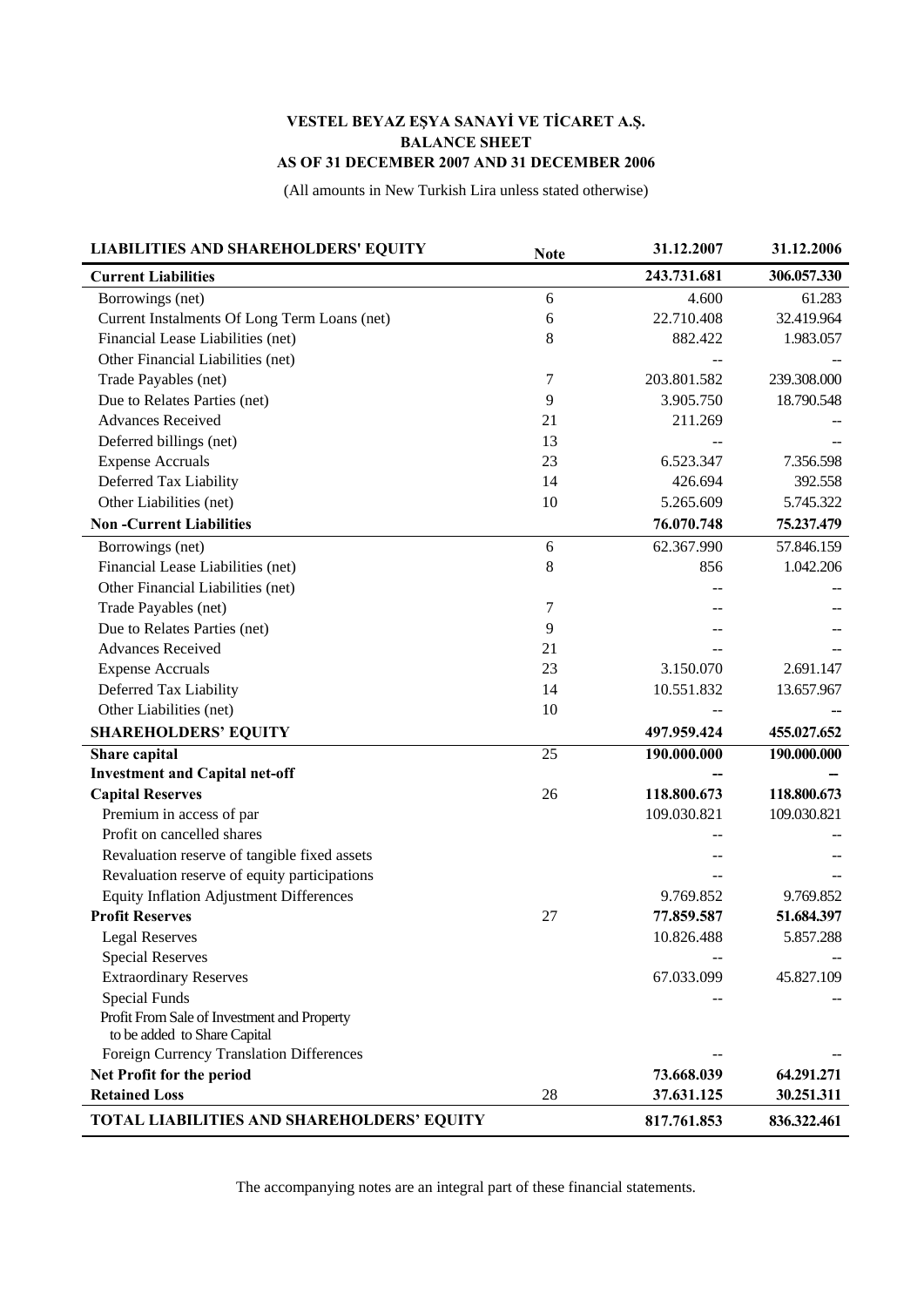## **VESTEL BEYAZ EŞYA SANAYİ VE TİCARET A.Ş. BALANCE SHEET AS OF 31 DECEMBER 2007 AND 31 DECEMBER 2006**

(All amounts in New Turkish Lira unless stated otherwise)

| <b>LIABILITIES AND SHAREHOLDERS' EQUITY</b>    | <b>Note</b> | 31.12.2007  | 31.12.2006  |
|------------------------------------------------|-------------|-------------|-------------|
| <b>Current Liabilities</b>                     |             | 243.731.681 | 306.057.330 |
| Borrowings (net)                               | 6           | 4.600       | 61.283      |
| Current Instalments Of Long Term Loans (net)   | 6           | 22.710.408  | 32.419.964  |
| Financial Lease Liabilities (net)              | 8           | 882.422     | 1.983.057   |
| Other Financial Liabilities (net)              |             |             |             |
| Trade Payables (net)                           | 7           | 203.801.582 | 239.308.000 |
| Due to Relates Parties (net)                   | 9           | 3.905.750   | 18.790.548  |
| <b>Advances Received</b>                       | 21          | 211.269     |             |
| Deferred billings (net)                        | 13          |             |             |
| <b>Expense Accruals</b>                        | 23          | 6.523.347   | 7.356.598   |
| Deferred Tax Liability                         | 14          | 426.694     | 392.558     |
| Other Liabilities (net)                        | 10          | 5.265.609   | 5.745.322   |
| <b>Non-Current Liabilities</b>                 |             | 76.070.748  | 75.237.479  |
| Borrowings (net)                               | 6           | 62.367.990  | 57.846.159  |
| Financial Lease Liabilities (net)              | 8           | 856         | 1.042.206   |
| Other Financial Liabilities (net)              |             |             |             |
| Trade Payables (net)                           | 7           |             |             |
| Due to Relates Parties (net)                   | 9           |             |             |
| <b>Advances Received</b>                       | 21          |             |             |
| <b>Expense Accruals</b>                        | 23          | 3.150.070   | 2.691.147   |
| Deferred Tax Liability                         | 14          | 10.551.832  | 13.657.967  |
| Other Liabilities (net)                        | 10          |             |             |
| <b>SHAREHOLDERS' EQUITY</b>                    |             | 497.959.424 | 455.027.652 |
| Share capital                                  | 25          | 190.000.000 | 190.000.000 |
| <b>Investment and Capital net-off</b>          |             |             |             |
| <b>Capital Reserves</b>                        | 26          | 118.800.673 | 118.800.673 |
| Premium in access of par                       |             | 109.030.821 | 109.030.821 |
| Profit on cancelled shares                     |             |             |             |
| Revaluation reserve of tangible fixed assets   |             |             |             |
| Revaluation reserve of equity participations   |             |             |             |
| <b>Equity Inflation Adjustment Differences</b> |             | 9.769.852   | 9.769.852   |
| <b>Profit Reserves</b>                         | 27          | 77.859.587  | 51.684.397  |
| <b>Legal Reserves</b>                          |             | 10.826.488  | 5.857.288   |
| <b>Special Reserves</b>                        |             |             |             |
| <b>Extraordinary Reserves</b>                  |             | 67.033.099  | 45.827.109  |
| <b>Special Funds</b>                           |             |             |             |
| Profit From Sale of Investment and Property    |             |             |             |
| to be added to Share Capital                   |             |             |             |
| Foreign Currency Translation Differences       |             |             |             |
| Net Profit for the period                      |             | 73.668.039  | 64.291.271  |
| <b>Retained Loss</b>                           | 28          | 37.631.125  | 30.251.311  |
| TOTAL LIABILITIES AND SHAREHOLDERS' EQUITY     |             | 817.761.853 | 836.322.461 |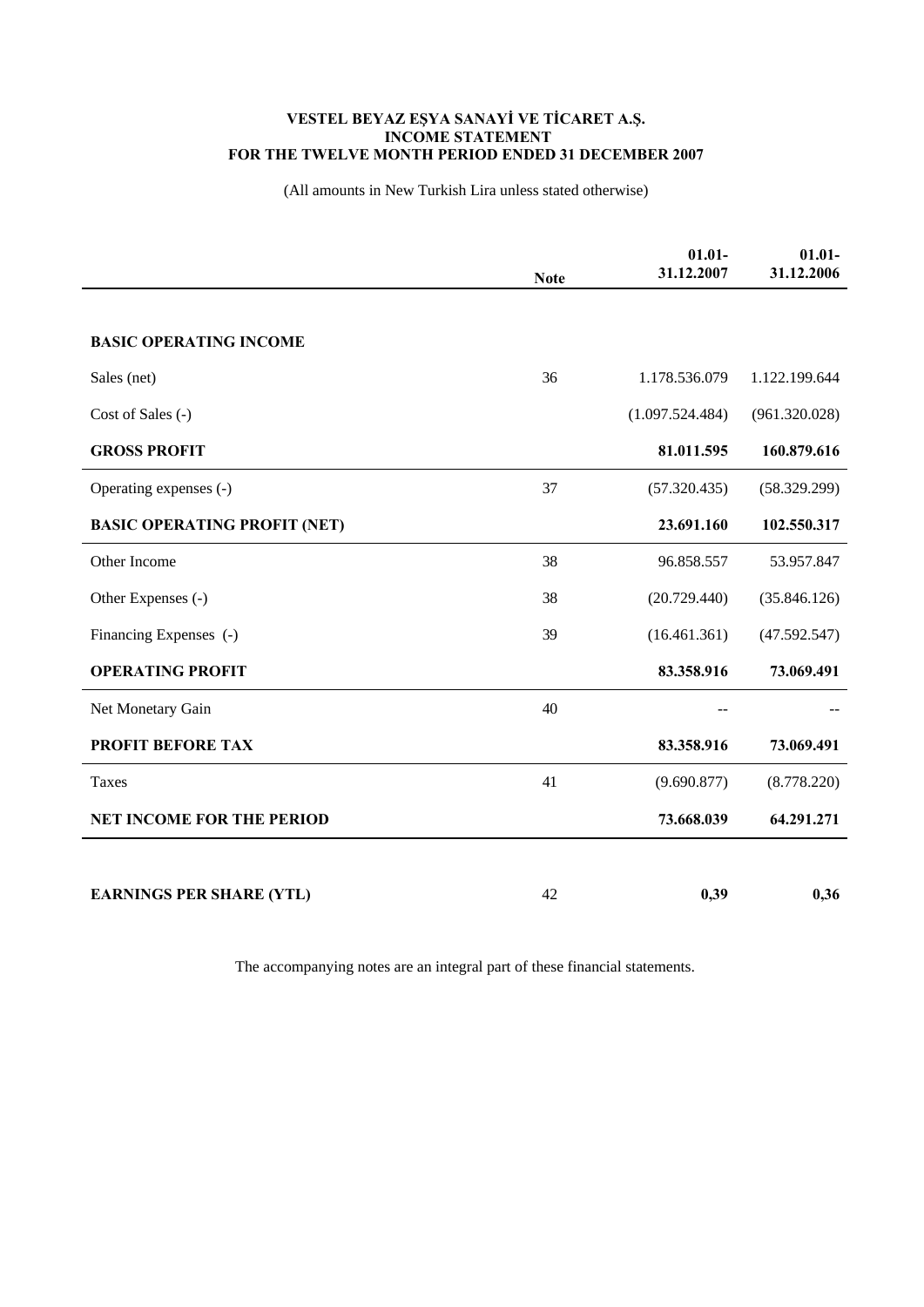## **VESTEL BEYAZ EŞYA SANAYİ VE TİCARET A.Ş. INCOME STATEMENT FOR THE TWELVE MONTH PERIOD ENDED 31 DECEMBER 2007**

(All amounts in New Turkish Lira unless stated otherwise)

|                                     | <b>Note</b> | $01.01 -$<br>31.12.2007 | $01.01 -$<br>31.12.2006 |
|-------------------------------------|-------------|-------------------------|-------------------------|
|                                     |             |                         |                         |
| <b>BASIC OPERATING INCOME</b>       |             |                         |                         |
| Sales (net)                         | 36          | 1.178.536.079           | 1.122.199.644           |
| Cost of Sales (-)                   |             | (1.097.524.484)         | (961.320.028)           |
| <b>GROSS PROFIT</b>                 |             | 81.011.595              | 160.879.616             |
| Operating expenses (-)              | 37          | (57.320.435)            | (58.329.299)            |
| <b>BASIC OPERATING PROFIT (NET)</b> |             | 23.691.160              | 102.550.317             |
| Other Income                        | 38          | 96.858.557              | 53.957.847              |
| Other Expenses (-)                  | 38          | (20.729.440)            | (35.846.126)            |
| Financing Expenses (-)              | 39          | (16.461.361)            | (47.592.547)            |
| <b>OPERATING PROFIT</b>             |             | 83.358.916              | 73.069.491              |
| Net Monetary Gain                   | 40          |                         |                         |
| <b>PROFIT BEFORE TAX</b>            |             | 83.358.916              | 73.069.491              |
| Taxes                               | 41          | (9.690.877)             | (8.778.220)             |
| <b>NET INCOME FOR THE PERIOD</b>    |             | 73.668.039              | 64.291.271              |
|                                     |             |                         |                         |
| <b>EARNINGS PER SHARE (YTL)</b>     | 42          | 0,39                    | 0,36                    |